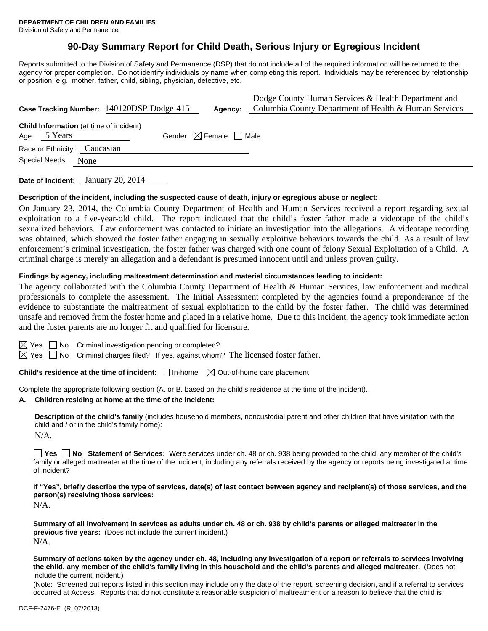# **90-Day Summary Report for Child Death, Serious Injury or Egregious Incident**

Reports submitted to the Division of Safety and Permanence (DSP) that do not include all of the required information will be returned to the agency for proper completion. Do not identify individuals by name when completing this report. Individuals may be referenced by relationship or position; e.g., mother, father, child, sibling, physician, detective, etc.

|                                                                                                          | Case Tracking Number: 140120DSP-Dodge-415 | Agency: | Dodge County Human Services & Health Department and<br>Columbia County Department of Health & Human Services |  |  |  |
|----------------------------------------------------------------------------------------------------------|-------------------------------------------|---------|--------------------------------------------------------------------------------------------------------------|--|--|--|
| <b>Child Information</b> (at time of incident)<br>Gender: $\boxtimes$ Female $\Box$ Male<br>Age: 5 Years |                                           |         |                                                                                                              |  |  |  |
| Race or Ethnicity: Caucasian                                                                             |                                           |         |                                                                                                              |  |  |  |
| Special Needs:<br>None                                                                                   |                                           |         |                                                                                                              |  |  |  |

**Date of Incident:** January 20, 2014

## **Description of the incident, including the suspected cause of death, injury or egregious abuse or neglect:**

On January 23, 2014, the Columbia County Department of Health and Human Services received a report regarding sexual exploitation to a five-year-old child. The report indicated that the child's foster father made a videotape of the child's sexualized behaviors. Law enforcement was contacted to initiate an investigation into the allegations. A videotape recording was obtained, which showed the foster father engaging in sexually exploitive behaviors towards the child. As a result of law enforcement's criminal investigation, the foster father was charged with one count of felony Sexual Exploitation of a Child. A criminal charge is merely an allegation and a defendant is presumed innocent until and unless proven guilty.

# **Findings by agency, including maltreatment determination and material circumstances leading to incident:**

The agency collaborated with the Columbia County Department of Health & Human Services, law enforcement and medical professionals to complete the assessment. The Initial Assessment completed by the agencies found a preponderance of the evidence to substantiate the maltreatment of sexual exploitation to the child by the foster father. The child was determined unsafe and removed from the foster home and placed in a relative home. Due to this incident, the agency took immediate action and the foster parents are no longer fit and qualified for licensure.

 $\boxtimes$  Yes  $\Box$  No Criminal investigation pending or completed?

 $\boxtimes$  Yes  $\Box$  No Criminal charges filed? If yes, against whom? The licensed foster father.

**Child's residence at the time of incident:**  $\Box$  In-home  $\Box$  Out-of-home care placement

Complete the appropriate following section (A. or B. based on the child's residence at the time of the incident).

#### **A. Children residing at home at the time of the incident:**

**Description of the child's family** (includes household members, noncustodial parent and other children that have visitation with the child and / or in the child's family home):

 $N/A$ .

**No No Statement of Services:** Were services under ch. 48 or ch. 938 being provided to the child, any member of the child's family or alleged maltreater at the time of the incident, including any referrals received by the agency or reports being investigated at time of incident?

**If "Yes", briefly describe the type of services, date(s) of last contact between agency and recipient(s) of those services, and the person(s) receiving those services:** 

N/A.

**Summary of all involvement in services as adults under ch. 48 or ch. 938 by child's parents or alleged maltreater in the previous five years:** (Does not include the current incident.) N/A.

**Summary of actions taken by the agency under ch. 48, including any investigation of a report or referrals to services involving the child, any member of the child's family living in this household and the child's parents and alleged maltreater.** (Does not include the current incident.)

(Note: Screened out reports listed in this section may include only the date of the report, screening decision, and if a referral to services occurred at Access. Reports that do not constitute a reasonable suspicion of maltreatment or a reason to believe that the child is